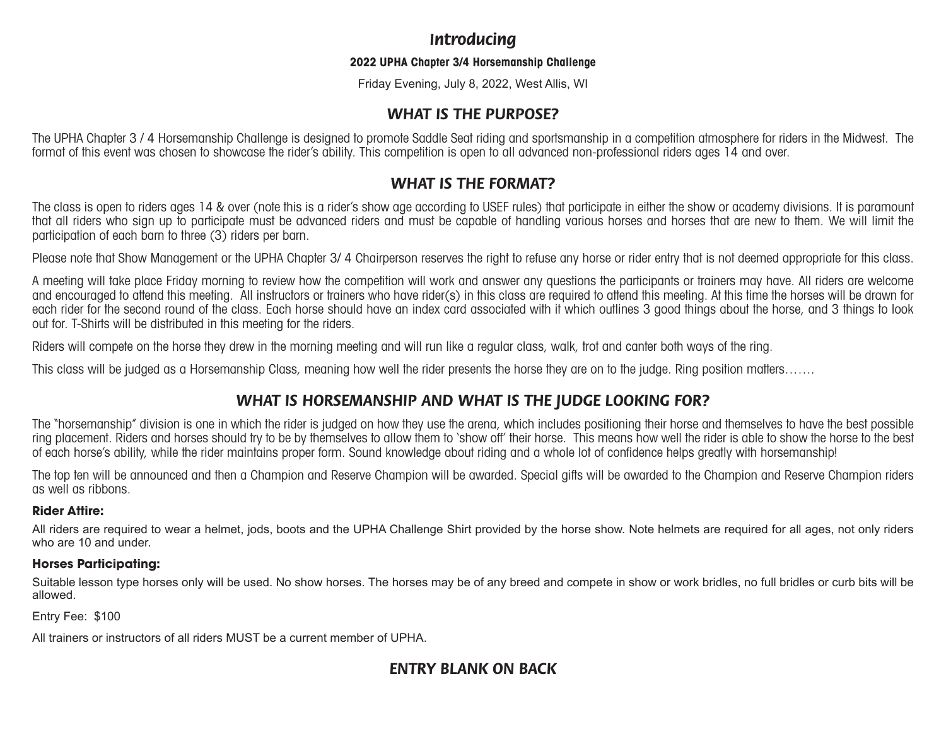## *Introducing*

#### **2022 UPHA Chapter 3/4 Horsemanship Challenge**

Friday Evening, July 8, 2022, West Allis, WI

## *WHAT IS THE PURPOSE?*

The UPHA Chapter 3 / 4 Horsemanship Challenge is designed to promote Saddle Seat riding and sportsmanship in a competition atmosphere for riders in the Midwest. The format of this event was chosen to showcase the rider's ability. This competition is open to all advanced non-professional riders ages 14 and over.

## *WHAT IS THE FORMAT?*

The class is open to riders ages 14 & over (note this is a rider's show age according to USEF rules) that participate in either the show or academy divisions. It is paramount that all riders who sign up to participate must be advanced riders and must be capable of handling various horses and horses that are new to them. We will limit the participation of each barn to three (3) riders per barn.

Please note that Show Management or the UPHA Chapter 3/4 Chairperson reserves the right to refuse any horse or rider entry that is not deemed appropriate for this class.

A meeting will take place Friday morning to review how the competition will work and answer any questions the participants or trainers may have. All riders are welcome and encouraged to attend this meeting. All instructors or trainers who have rider(s) in this class are required to attend this meeting. At this time the horses will be drawn for each rider for the second round of the class. Each horse should have an index card associated with it which outlines 3 good things about the horse, and 3 things to look out for. T-Shirts will be distributed in this meeting for the riders.

Riders will compete on the horse they drew in the morning meeting and will run like a regular class, walk, trot and canter both ways of the ring.

This class will be judged as a Horsemanship Class, meaning how well the rider presents the horse they are on to the judge. Ring position matters…….

## *WHAT IS HORSEMANSHIP AND WHAT IS THE JUDGE LOOKING FOR?*

The "horsemanship" division is one in which the rider is judged on how they use the arena, which includes positioning their horse and themselves to have the best possible ring placement. Riders and horses should try to be by themselves to allow them to 'show off' their horse. This means how well the rider is able to show the horse to the best of each horse's ability, while the rider maintains proper form. Sound knowledge about riding and a whole lot of confidence helps greatly with horsemanship!

The top ten will be announced and then a Champion and Reserve Champion will be awarded. Special gifts will be awarded to the Champion and Reserve Champion riders as well as ribbons.

#### **Rider Attire:**

All riders are required to wear a helmet, jods, boots and the UPHA Challenge Shirt provided by the horse show. Note helmets are required for all ages, not only riders who are 10 and under.

#### **Horses Participating:**

Suitable lesson type horses only will be used. No show horses. The horses may be of any breed and compete in show or work bridles, no full bridles or curb bits will be allowed.

Entry Fee: \$100

All trainers or instructors of all riders MUST be a current member of UPHA.